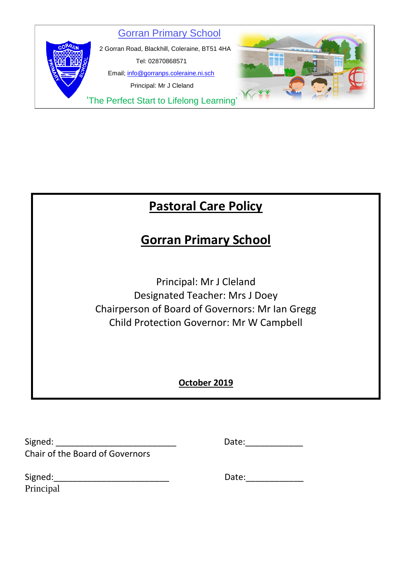

# **Pastoral Care Policy**

## **Gorran Primary School**

Principal: Mr J Cleland Designated Teacher: Mrs J Doey Chairperson of Board of Governors: Mr Ian Gregg Child Protection Governor: Mr W Campbell

## **October 2019**

| Signed:                                | Date: |
|----------------------------------------|-------|
| <b>Chair of the Board of Governors</b> |       |

| Date: |  |  |
|-------|--|--|
|       |  |  |

| Signed:   | Date: |
|-----------|-------|
| Principal |       |

| Date: |  |
|-------|--|
|-------|--|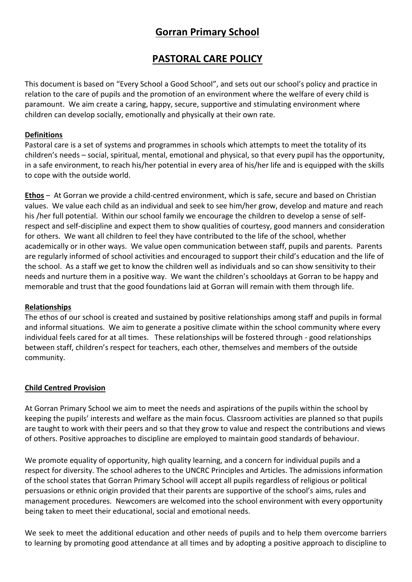## **Gorran Primary School**

### **PASTORAL CARE POLICY**

This document is based on "Every School a Good School", and sets out our school's policy and practice in relation to the care of pupils and the promotion of an environment where the welfare of every child is paramount. We aim create a caring, happy, secure, supportive and stimulating environment where children can develop socially, emotionally and physically at their own rate.

#### **Definitions**

Pastoral care is a set of systems and programmes in schools which attempts to meet the totality of its children's needs – social, spiritual, mental, emotional and physical, so that every pupil has the opportunity, in a safe environment, to reach his/her potential in every area of his/her life and is equipped with the skills to cope with the outside world.

**Ethos** – At Gorran we provide a child-centred environment, which is safe, secure and based on Christian values. We value each child as an individual and seek to see him/her grow, develop and mature and reach his /her full potential. Within our school family we encourage the children to develop a sense of selfrespect and self-discipline and expect them to show qualities of courtesy, good manners and consideration for others. We want all children to feel they have contributed to the life of the school, whether academically or in other ways. We value open communication between staff, pupils and parents. Parents are regularly informed of school activities and encouraged to support their child's education and the life of the school. As a staff we get to know the children well as individuals and so can show sensitivity to their needs and nurture them in a positive way. We want the children's schooldays at Gorran to be happy and memorable and trust that the good foundations laid at Gorran will remain with them through life.

#### **Relationships**

The ethos of our school is created and sustained by positive relationships among staff and pupils in formal and informal situations. We aim to generate a positive climate within the school community where every individual feels cared for at all times. These relationships will be fostered through - good relationships between staff, children's respect for teachers, each other, themselves and members of the outside community.

#### **Child Centred Provision**

At Gorran Primary School we aim to meet the needs and aspirations of the pupils within the school by keeping the pupils' interests and welfare as the main focus. Classroom activities are planned so that pupils are taught to work with their peers and so that they grow to value and respect the contributions and views of others. Positive approaches to discipline are employed to maintain good standards of behaviour.

We promote equality of opportunity, high quality learning, and a concern for individual pupils and a respect for diversity. The school adheres to the UNCRC Principles and Articles. The admissions information of the school states that Gorran Primary School will accept all pupils regardless of religious or political persuasions or ethnic origin provided that their parents are supportive of the school's aims, rules and management procedures. Newcomers are welcomed into the school environment with every opportunity being taken to meet their educational, social and emotional needs.

We seek to meet the additional education and other needs of pupils and to help them overcome barriers to learning by promoting good attendance at all times and by adopting a positive approach to discipline to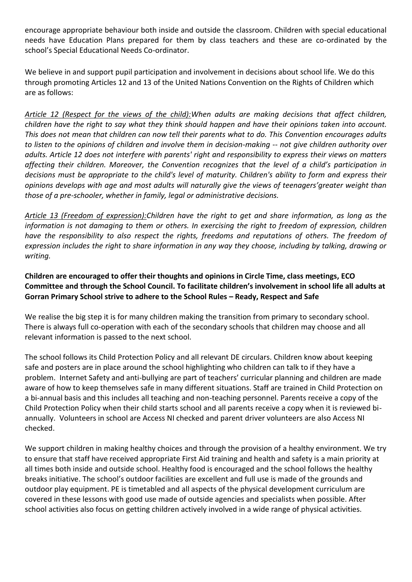encourage appropriate behaviour both inside and outside the classroom. Children with special educational needs have Education Plans prepared for them by class teachers and these are co-ordinated by the school's Special Educational Needs Co-ordinator.

We believe in and support pupil participation and involvement in decisions about school life. We do this through promoting Articles 12 and 13 of the United Nations Convention on the Rights of Children which are as follows:

*Article 12 (Respect for the views of the child):When adults are making decisions that affect children, children have the right to say what they think should happen and have their opinions taken into account. This does not mean that children can now tell their parents what to do. This Convention encourages adults to listen to the opinions of children and involve them in decision-making -- not give children authority over adults. Article 12 does not interfere with parents' right and responsibility to express their views on matters affecting their children. Moreover, the Convention recognizes that the level of a child's participation in decisions must be appropriate to the child's level of maturity. Children's ability to form and express their opinions develops with age and most adults will naturally give the views of teenagers'greater weight than those of a pre-schooler, whether in family, legal or administrative decisions.*

*Article 13 (Freedom of expression):Children have the right to get and share information, as long as the information is not damaging to them or others. In exercising the right to freedom of expression, children have the responsibility to also respect the rights, freedoms and reputations of others. The freedom of expression includes the right to share information in any way they choose, including by talking, drawing or writing.*

**Children are encouraged to offer their thoughts and opinions in Circle Time, class meetings, ECO Committee and through the School Council. To facilitate children's involvement in school life all adults at Gorran Primary School strive to adhere to the School Rules – Ready, Respect and Safe**

We realise the big step it is for many children making the transition from primary to secondary school. There is always full co-operation with each of the secondary schools that children may choose and all relevant information is passed to the next school.

The school follows its Child Protection Policy and all relevant DE circulars. Children know about keeping safe and posters are in place around the school highlighting who children can talk to if they have a problem. Internet Safety and anti-bullying are part of teachers' curricular planning and children are made aware of how to keep themselves safe in many different situations. Staff are trained in Child Protection on a bi-annual basis and this includes all teaching and non-teaching personnel. Parents receive a copy of the Child Protection Policy when their child starts school and all parents receive a copy when it is reviewed biannually. Volunteers in school are Access NI checked and parent driver volunteers are also Access NI checked.

We support children in making healthy choices and through the provision of a healthy environment. We try to ensure that staff have received appropriate First Aid training and health and safety is a main priority at all times both inside and outside school. Healthy food is encouraged and the school follows the healthy breaks initiative. The school's outdoor facilities are excellent and full use is made of the grounds and outdoor play equipment. PE is timetabled and all aspects of the physical development curriculum are covered in these lessons with good use made of outside agencies and specialists when possible. After school activities also focus on getting children actively involved in a wide range of physical activities.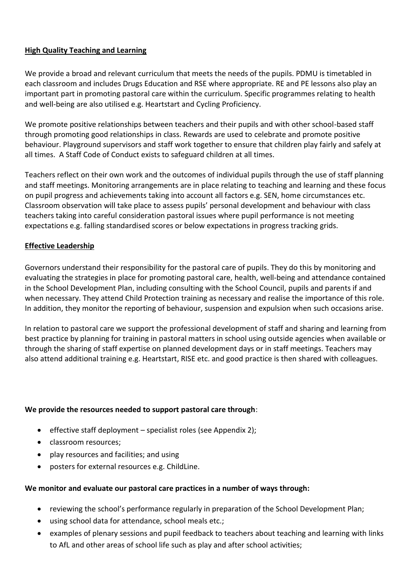#### **High Quality Teaching and Learning**

We provide a broad and relevant curriculum that meets the needs of the pupils. PDMU is timetabled in each classroom and includes Drugs Education and RSE where appropriate. RE and PE lessons also play an important part in promoting pastoral care within the curriculum. Specific programmes relating to health and well-being are also utilised e.g. Heartstart and Cycling Proficiency.

We promote positive relationships between teachers and their pupils and with other school-based staff through promoting good relationships in class. Rewards are used to celebrate and promote positive behaviour. Playground supervisors and staff work together to ensure that children play fairly and safely at all times. A Staff Code of Conduct exists to safeguard children at all times.

Teachers reflect on their own work and the outcomes of individual pupils through the use of staff planning and staff meetings. Monitoring arrangements are in place relating to teaching and learning and these focus on pupil progress and achievements taking into account all factors e.g. SEN, home circumstances etc. Classroom observation will take place to assess pupils' personal development and behaviour with class teachers taking into careful consideration pastoral issues where pupil performance is not meeting expectations e.g. falling standardised scores or below expectations in progress tracking grids.

#### **Effective Leadership**

Governors understand their responsibility for the pastoral care of pupils. They do this by monitoring and evaluating the strategies in place for promoting pastoral care, health, well-being and attendance contained in the School Development Plan, including consulting with the School Council, pupils and parents if and when necessary. They attend Child Protection training as necessary and realise the importance of this role. In addition, they monitor the reporting of behaviour, suspension and expulsion when such occasions arise.

In relation to pastoral care we support the professional development of staff and sharing and learning from best practice by planning for training in pastoral matters in school using outside agencies when available or through the sharing of staff expertise on planned development days or in staff meetings. Teachers may also attend additional training e.g. Heartstart, RISE etc. and good practice is then shared with colleagues.

#### **We provide the resources needed to support pastoral care through**:

- **e** effective staff deployment specialist roles (see Appendix 2);
- classroom resources;
- play resources and facilities; and using
- posters for external resources e.g. ChildLine.

#### **We monitor and evaluate our pastoral care practices in a number of ways through:**

- reviewing the school's performance regularly in preparation of the School Development Plan;
- using school data for attendance, school meals etc.;
- examples of plenary sessions and pupil feedback to teachers about teaching and learning with links to AfL and other areas of school life such as play and after school activities;